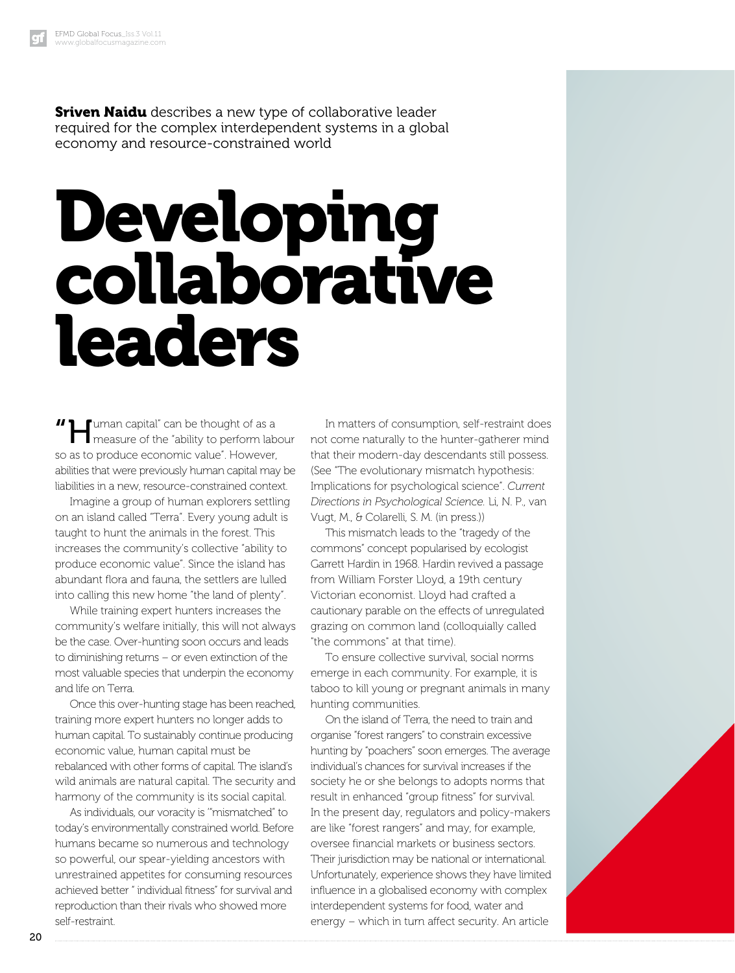**Sriven Naidu** describes a new type of collaborative leader required for the complex interdependent systems in a global economy and resource-constrained world

# Developing collaborative leaders

"Human capital" can be thought of as a measure of the "ability to perform labour so as to produce economic value". However, abilities that were previously human capital may be liabilities in a new, resource-constrained context.

Imagine a group of human explorers settling on an island called "Terra". Every young adult is taught to hunt the animals in the forest. This increases the community's collective "ability to produce economic value". Since the island has abundant flora and fauna, the settlers are lulled into calling this new home "the land of plenty".

While training expert hunters increases the community's welfare initially, this will not always be the case. Over-hunting soon occurs and leads to diminishing returns – or even extinction of the most valuable species that underpin the economy and life on Terra.

Once this over-hunting stage has been reached, training more expert hunters no longer adds to human capital. To sustainably continue producing economic value, human capital must be rebalanced with other forms of capital. The island's wild animals are natural capital. The security and harmony of the community is its social capital.

As individuals, our voracity is '"mismatched" to today's environmentally constrained world. Before humans became so numerous and technology so powerful, our spear-yielding ancestors with unrestrained appetites for consuming resources achieved better " individual fitness" for survival and reproduction than their rivals who showed more self-restraint.

In matters of consumption, self-restraint does not come naturally to the hunter-gatherer mind that their modern-day descendants still possess. (See "The evolutionary mismatch hypothesis: Implications for psychological science". *Current Directions in Psychological Science.* Li, N. P., van Vugt, M., & Colarelli, S. M. (in press.))

This mismatch leads to the "tragedy of the commons" concept popularised by ecologist Garrett Hardin in 1968. Hardin revived a passage from William Forster Lloyd, a 19th century Victorian economist. Lloyd had crafted a cautionary parable on the effects of unregulated grazing on common land (colloquially called "the commons" at that time).

To ensure collective survival, social norms emerge in each community. For example, it is taboo to kill young or pregnant animals in many hunting communities.

On the island of Terra, the need to train and organise "forest rangers" to constrain excessive hunting by "poachers" soon emerges. The average individual's chances for survival increases if the society he or she belongs to adopts norms that result in enhanced "group fitness" for survival. In the present day, regulators and policy-makers are like "forest rangers" and may, for example, oversee financial markets or business sectors. Their jurisdiction may be national or international. Unfortunately, experience shows they have limited influence in a globalised economy with complex interdependent systems for food, water and energy – which in turn affect security. An article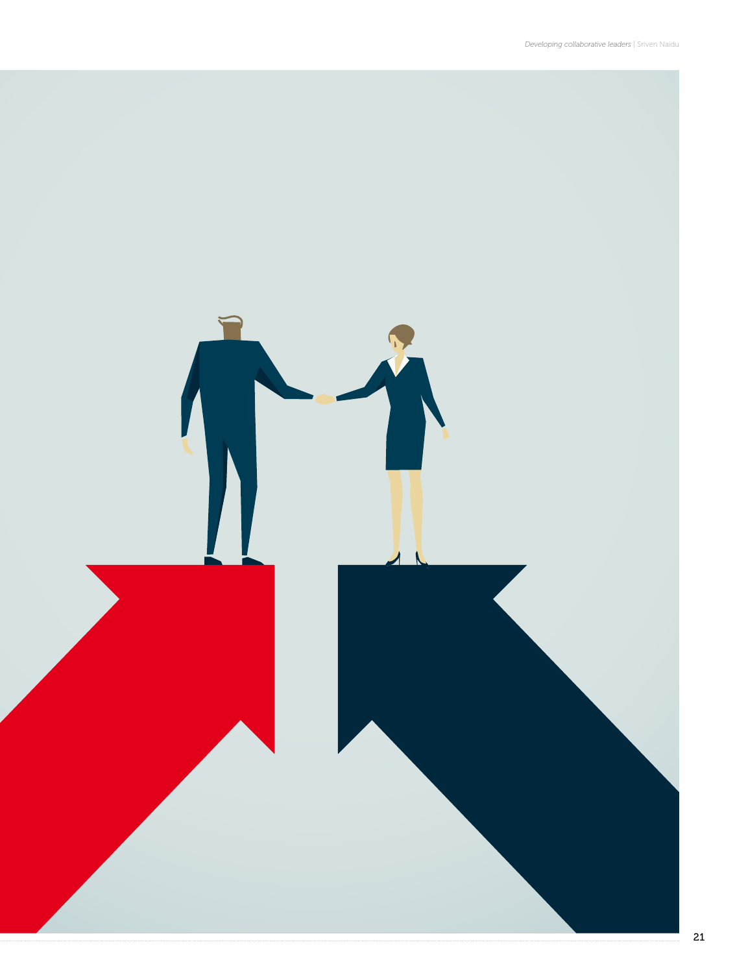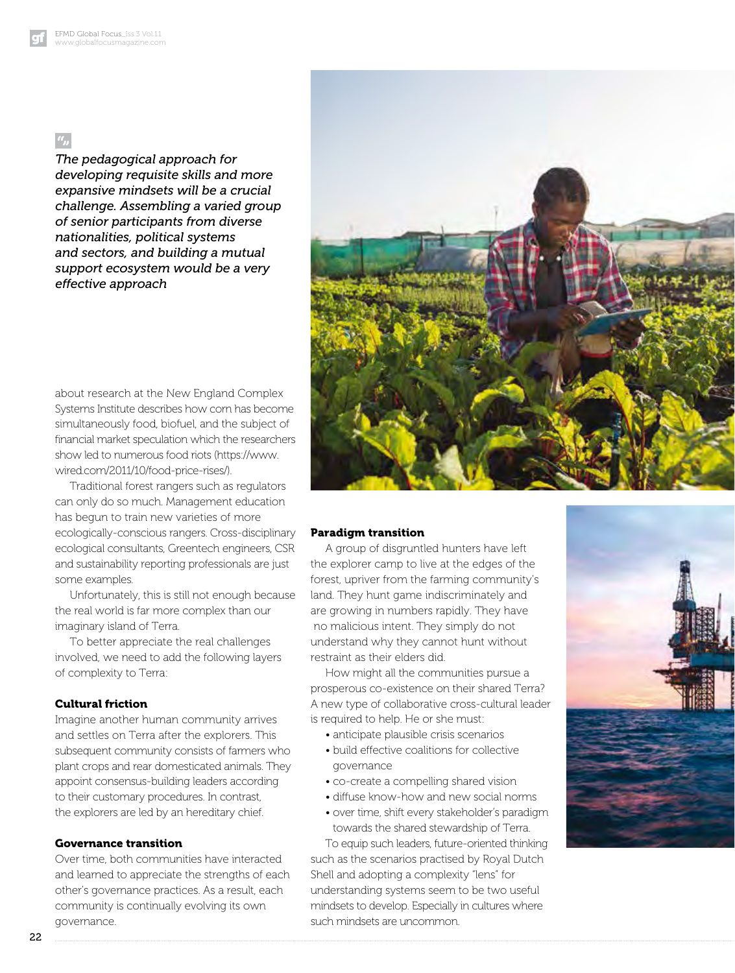*The pedagogical approach for developing requisite skills and more expansive mindsets will be a crucial challenge. Assembling a varied group of senior participants from diverse nationalities, political systems and sectors, and building a mutual support ecosystem would be a very effective approach*

about research at the New England Complex Systems Institute describes how corn has become simultaneously food, biofuel, and the subject of financial market speculation which the researchers show led to numerous food riots (https://www. wired.com/2011/10/food-price-rises/).

Traditional forest rangers such as regulators can only do so much. Management education has begun to train new varieties of more ecologically-conscious rangers. Cross-disciplinary ecological consultants, Greentech engineers, CSR and sustainability reporting professionals are just some examples.

Unfortunately, this is still not enough because the real world is far more complex than our imaginary island of Terra.

To better appreciate the real challenges involved, we need to add the following layers of complexity to Terra:

### Cultural friction

Imagine another human community arrives and settles on Terra after the explorers. This subsequent community consists of farmers who plant crops and rear domesticated animals. They appoint consensus-building leaders according to their customary procedures. In contrast, the explorers are led by an hereditary chief.

# Governance transition

Over time, both communities have interacted and learned to appreciate the strengths of each other's governance practices. As a result, each community is continually evolving its own governance.



# Paradigm transition

A group of disgruntled hunters have left the explorer camp to live at the edges of the forest, upriver from the farming community's land. They hunt game indiscriminately and are growing in numbers rapidly. They have no malicious intent. They simply do not understand why they cannot hunt without restraint as their elders did.

How might all the communities pursue a prosperous co-existence on their shared Terra? A new type of collaborative cross-cultural leader is required to help. He or she must:

- anticipate plausible crisis scenarios
- build effective coalitions for collective governance
- co-create a compelling shared vision
- diffuse know-how and new social norms
- over time, shift every stakeholder's paradigm towards the shared stewardship of Terra.

To equip such leaders, future-oriented thinking such as the scenarios practised by Royal Dutch Shell and adopting a complexity "lens" for understanding systems seem to be two useful mindsets to develop. Especially in cultures where such mindsets are uncommon.